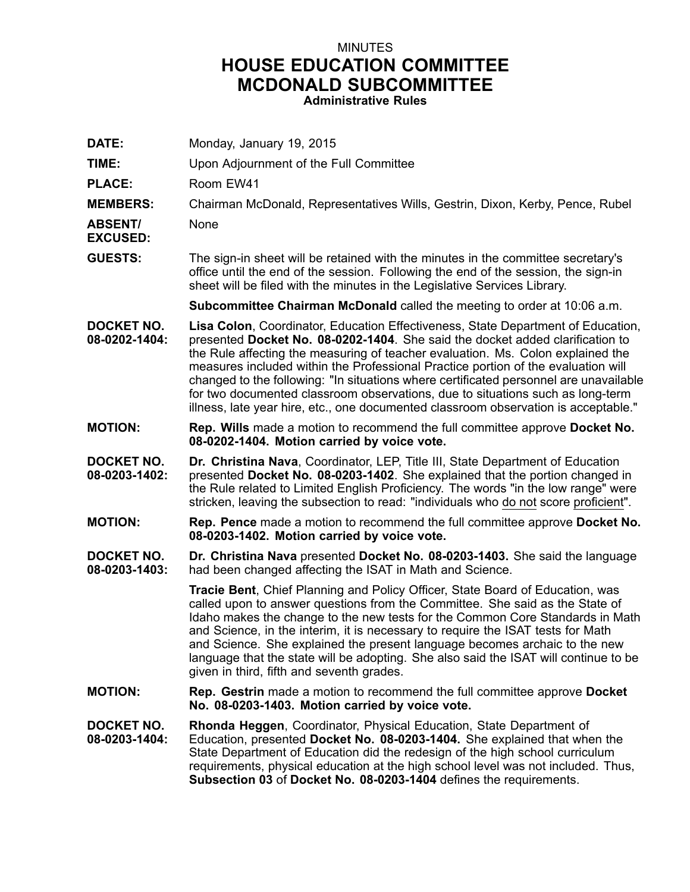## MINUTES **HOUSE EDUCATION COMMITTEE MCDONALD SUBCOMMITTEE Administrative Rules**

| DATE:                              | Monday, January 19, 2015                                                                                                                                                                                                                                                                                                                                                                                                                                                                                                                                                                                    |
|------------------------------------|-------------------------------------------------------------------------------------------------------------------------------------------------------------------------------------------------------------------------------------------------------------------------------------------------------------------------------------------------------------------------------------------------------------------------------------------------------------------------------------------------------------------------------------------------------------------------------------------------------------|
| TIME:                              | Upon Adjournment of the Full Committee                                                                                                                                                                                                                                                                                                                                                                                                                                                                                                                                                                      |
| <b>PLACE:</b>                      | Room EW41                                                                                                                                                                                                                                                                                                                                                                                                                                                                                                                                                                                                   |
| <b>MEMBERS:</b>                    | Chairman McDonald, Representatives Wills, Gestrin, Dixon, Kerby, Pence, Rubel                                                                                                                                                                                                                                                                                                                                                                                                                                                                                                                               |
| <b>ABSENT/</b><br><b>EXCUSED:</b>  | None                                                                                                                                                                                                                                                                                                                                                                                                                                                                                                                                                                                                        |
| <b>GUESTS:</b>                     | The sign-in sheet will be retained with the minutes in the committee secretary's<br>office until the end of the session. Following the end of the session, the sign-in<br>sheet will be filed with the minutes in the Legislative Services Library.                                                                                                                                                                                                                                                                                                                                                         |
|                                    | Subcommittee Chairman McDonald called the meeting to order at 10:06 a.m.                                                                                                                                                                                                                                                                                                                                                                                                                                                                                                                                    |
| <b>DOCKET NO.</b><br>08-0202-1404: | Lisa Colon, Coordinator, Education Effectiveness, State Department of Education,<br>presented Docket No. 08-0202-1404. She said the docket added clarification to<br>the Rule affecting the measuring of teacher evaluation. Ms. Colon explained the<br>measures included within the Professional Practice portion of the evaluation will<br>changed to the following: "In situations where certificated personnel are unavailable<br>for two documented classroom observations, due to situations such as long-term<br>illness, late year hire, etc., one documented classroom observation is acceptable." |
| <b>MOTION:</b>                     | <b>Rep. Wills</b> made a motion to recommend the full committee approve Docket No.<br>08-0202-1404. Motion carried by voice vote.                                                                                                                                                                                                                                                                                                                                                                                                                                                                           |
| DOCKET NO.<br>08-0203-1402:        | Dr. Christina Nava, Coordinator, LEP, Title III, State Department of Education<br>presented Docket No. 08-0203-1402. She explained that the portion changed in<br>the Rule related to Limited English Proficiency. The words "in the low range" were<br>stricken, leaving the subsection to read: "individuals who do not score proficient".                                                                                                                                                                                                                                                                |
| <b>MOTION:</b>                     | Rep. Pence made a motion to recommend the full committee approve Docket No.<br>08-0203-1402. Motion carried by voice vote.                                                                                                                                                                                                                                                                                                                                                                                                                                                                                  |
| <b>DOCKET NO.</b><br>08-0203-1403: | Dr. Christina Nava presented Docket No. 08-0203-1403. She said the language<br>had been changed affecting the ISAT in Math and Science.                                                                                                                                                                                                                                                                                                                                                                                                                                                                     |
|                                    | Tracie Bent, Chief Planning and Policy Officer, State Board of Education, was<br>called upon to answer questions from the Committee. She said as the State of<br>Idaho makes the change to the new tests for the Common Core Standards in Math<br>and Science, in the interim, it is necessary to require the ISAT tests for Math<br>and Science. She explained the present language becomes archaic to the new<br>language that the state will be adopting. She also said the ISAT will continue to be<br>given in third, fifth and seventh grades.                                                        |
| <b>MOTION:</b>                     | <b>Rep. Gestrin</b> made a motion to recommend the full committee approve <b>Docket</b><br>No. 08-0203-1403. Motion carried by voice vote.                                                                                                                                                                                                                                                                                                                                                                                                                                                                  |
| <b>DOCKET NO.</b><br>08-0203-1404: | <b>Rhonda Heggen, Coordinator, Physical Education, State Department of</b><br>Education, presented Docket No. 08-0203-1404. She explained that when the<br>State Department of Education did the redesign of the high school curriculum<br>requirements, physical education at the high school level was not included. Thus,<br>Subsection 03 of Docket No. 08-0203-1404 defines the requirements.                                                                                                                                                                                                          |